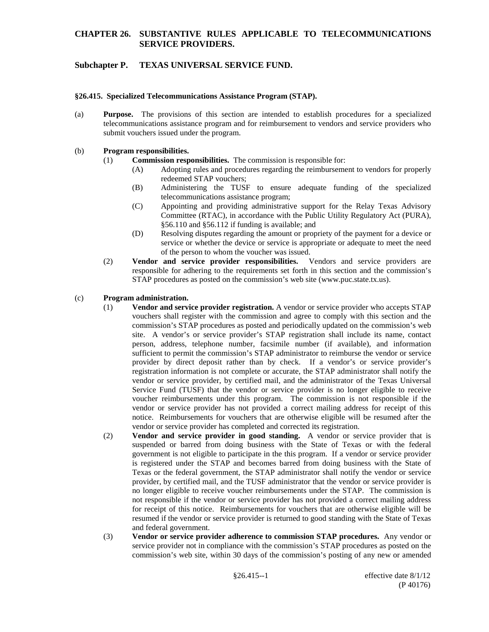# **CHAPTER 26. SUBSTANTIVE RULES APPLICABLE TO TELECOMMUNICATIONS SERVICE PROVIDERS.**

# **Subchapter P. TEXAS UNIVERSAL SERVICE FUND.**

#### **§26.415. Specialized Telecommunications Assistance Program (STAP).**

(a) **Purpose.** The provisions of this section are intended to establish procedures for a specialized telecommunications assistance program and for reimbursement to vendors and service providers who submit vouchers issued under the program.

#### (b) **Program responsibilities.**

- (1) **Commission responsibilities.** The commission is responsible for:
	- (A) Adopting rules and procedures regarding the reimbursement to vendors for properly redeemed STAP vouchers;
	- (B) Administering the TUSF to ensure adequate funding of the specialized telecommunications assistance program;
	- (C) Appointing and providing administrative support for the Relay Texas Advisory Committee (RTAC), in accordance with the Public Utility Regulatory Act (PURA), §56.110 and §56.112 if funding is available; and
	- (D) Resolving disputes regarding the amount or propriety of the payment for a device or service or whether the device or service is appropriate or adequate to meet the need of the person to whom the voucher was issued.
- (2) **Vendor and service provider responsibilities.** Vendors and service providers are responsible for adhering to the requirements set forth in this section and the commission's STAP procedures as posted on the commission's web site (www.puc.state.tx.us).

#### (c) **Program administration.**

- (1) **Vendor and service provider registration.** A vendor or service provider who accepts STAP vouchers shall register with the commission and agree to comply with this section and the commission's STAP procedures as posted and periodically updated on the commission's web site. A vendor's or service provider's STAP registration shall include its name, contact person, address, telephone number, facsimile number (if available), and information sufficient to permit the commission's STAP administrator to reimburse the vendor or service provider by direct deposit rather than by check. If a vendor's or service provider's registration information is not complete or accurate, the STAP administrator shall notify the vendor or service provider, by certified mail, and the administrator of the Texas Universal Service Fund (TUSF) that the vendor or service provider is no longer eligible to receive voucher reimbursements under this program. The commission is not responsible if the vendor or service provider has not provided a correct mailing address for receipt of this notice. Reimbursements for vouchers that are otherwise eligible will be resumed after the vendor or service provider has completed and corrected its registration.
- (2) **Vendor and service provider in good standing.** A vendor or service provider that is suspended or barred from doing business with the State of Texas or with the federal government is not eligible to participate in the this program. If a vendor or service provider is registered under the STAP and becomes barred from doing business with the State of Texas or the federal government, the STAP administrator shall notify the vendor or service provider, by certified mail, and the TUSF administrator that the vendor or service provider is no longer eligible to receive voucher reimbursements under the STAP. The commission is not responsible if the vendor or service provider has not provided a correct mailing address for receipt of this notice. Reimbursements for vouchers that are otherwise eligible will be resumed if the vendor or service provider is returned to good standing with the State of Texas and federal government.
- (3) **Vendor or service provider adherence to commission STAP procedures.** Any vendor or service provider not in compliance with the commission's STAP procedures as posted on the commission's web site, within 30 days of the commission's posting of any new or amended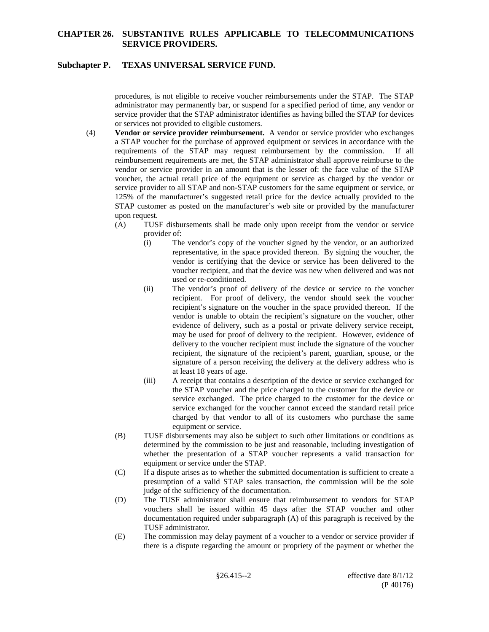# **CHAPTER 26. SUBSTANTIVE RULES APPLICABLE TO TELECOMMUNICATIONS SERVICE PROVIDERS.**

### **Subchapter P. TEXAS UNIVERSAL SERVICE FUND.**

procedures, is not eligible to receive voucher reimbursements under the STAP. The STAP administrator may permanently bar, or suspend for a specified period of time, any vendor or service provider that the STAP administrator identifies as having billed the STAP for devices or services not provided to eligible customers.

- (4) **Vendor or service provider reimbursement.** A vendor or service provider who exchanges a STAP voucher for the purchase of approved equipment or services in accordance with the requirements of the STAP may request reimbursement by the commission. If all reimbursement requirements are met, the STAP administrator shall approve reimburse to the vendor or service provider in an amount that is the lesser of: the face value of the STAP voucher, the actual retail price of the equipment or service as charged by the vendor or service provider to all STAP and non-STAP customers for the same equipment or service, or 125% of the manufacturer's suggested retail price for the device actually provided to the STAP customer as posted on the manufacturer's web site or provided by the manufacturer upon request.
	- (A) TUSF disbursements shall be made only upon receipt from the vendor or service provider of:
		- (i) The vendor's copy of the voucher signed by the vendor, or an authorized representative, in the space provided thereon. By signing the voucher, the vendor is certifying that the device or service has been delivered to the voucher recipient, and that the device was new when delivered and was not used or re-conditioned.
		- (ii) The vendor's proof of delivery of the device or service to the voucher recipient. For proof of delivery, the vendor should seek the voucher recipient's signature on the voucher in the space provided thereon. If the vendor is unable to obtain the recipient's signature on the voucher, other evidence of delivery, such as a postal or private delivery service receipt, may be used for proof of delivery to the recipient. However, evidence of delivery to the voucher recipient must include the signature of the voucher recipient, the signature of the recipient's parent, guardian, spouse, or the signature of a person receiving the delivery at the delivery address who is at least 18 years of age.
		- (iii) A receipt that contains a description of the device or service exchanged for the STAP voucher and the price charged to the customer for the device or service exchanged. The price charged to the customer for the device or service exchanged for the voucher cannot exceed the standard retail price charged by that vendor to all of its customers who purchase the same equipment or service.
	- (B) TUSF disbursements may also be subject to such other limitations or conditions as determined by the commission to be just and reasonable, including investigation of whether the presentation of a STAP voucher represents a valid transaction for equipment or service under the STAP.
	- (C) If a dispute arises as to whether the submitted documentation is sufficient to create a presumption of a valid STAP sales transaction, the commission will be the sole judge of the sufficiency of the documentation.
	- (D) The TUSF administrator shall ensure that reimbursement to vendors for STAP vouchers shall be issued within 45 days after the STAP voucher and other documentation required under subparagraph (A) of this paragraph is received by the TUSF administrator.
	- (E) The commission may delay payment of a voucher to a vendor or service provider if there is a dispute regarding the amount or propriety of the payment or whether the